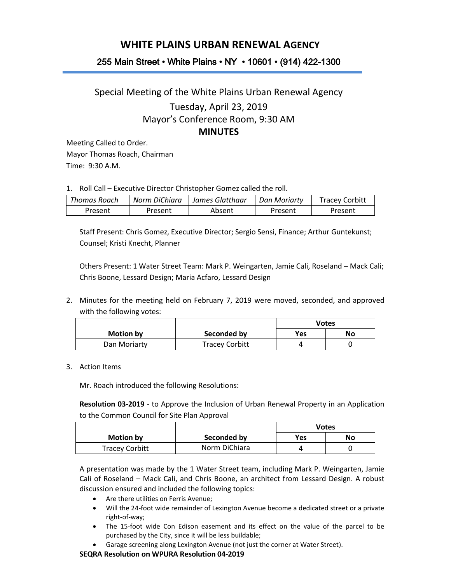## **WHITE PLAINS URBAN RENEWAL AGENCY**

## 255 Main Street • White Plains • NY • 10601 • (914) 422-1300

## Special Meeting of the White Plains Urban Renewal Agency Tuesday, April 23, 2019 Mayor's Conference Room, 9:30 AM **MINUTES**

Meeting Called to Order. Mayor Thomas Roach, Chairman Time: 9:30 A.M.

1. Roll Call – Executive Director Christopher Gomez called the roll.

| Thomas Roach | Norm DiChiara | James Glatthaar | Dan Moriarty | <b>Tracey Corbitt</b> |
|--------------|---------------|-----------------|--------------|-----------------------|
| Present      | Present       | Absent          | Present      | Present               |

Staff Present: Chris Gomez, Executive Director; Sergio Sensi, Finance; Arthur Guntekunst; Counsel; Kristi Knecht, Planner

Others Present: 1 Water Street Team: Mark P. Weingarten, Jamie Cali, Roseland – Mack Cali; Chris Boone, Lessard Design; Maria Acfaro, Lessard Design

2. Minutes for the meeting held on February 7, 2019 were moved, seconded, and approved with the following votes:

|                  |                       | <b>Votes</b> |    |
|------------------|-----------------------|--------------|----|
| <b>Motion by</b> | Seconded by           | Yes          | No |
| Dan Moriarty     | <b>Tracey Corbitt</b> |              |    |

3. Action Items

Mr. Roach introduced the following Resolutions:

**Resolution 03-2019** - to Approve the Inclusion of Urban Renewal Property in an Application to the Common Council for Site Plan Approval

|                       |               | <b>Votes</b> |    |
|-----------------------|---------------|--------------|----|
| Motion by             | Seconded by   | Yes          | No |
| <b>Tracey Corbitt</b> | Norm DiChiara |              |    |

A presentation was made by the 1 Water Street team, including Mark P. Weingarten, Jamie Cali of Roseland – Mack Cali, and Chris Boone, an architect from Lessard Design. A robust discussion ensured and included the following topics:

- Are there utilities on Ferris Avenue;
- Will the 24-foot wide remainder of Lexington Avenue become a dedicated street or a private right-of-way;
- The 15-foot wide Con Edison easement and its effect on the value of the parcel to be purchased by the City, since it will be less buildable;
- Garage screening along Lexington Avenue (not just the corner at Water Street).

## **SEQRA Resolution on WPURA Resolution 04-2019**